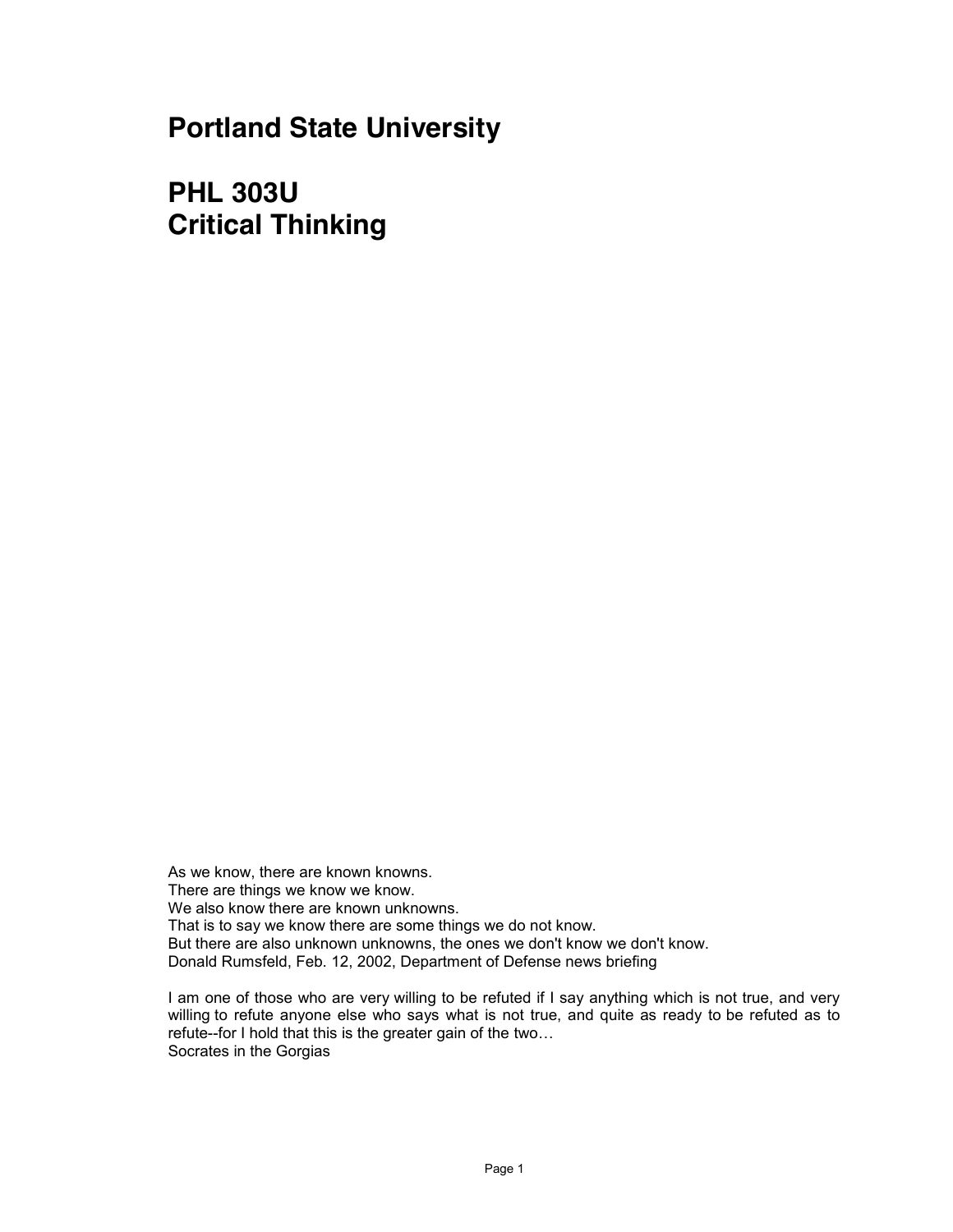**Portland State University**

**PHL 303U Critical Thinking**

As we know, there are known knowns. There are things we know we know. We also know there are known unknowns. That is to say we know there are some things we do not know. But there are also unknown unknowns, the ones we don't know we don't know. Donald Rumsfeld, Feb. 12, 2002, Department of Defense news briefing

I am one of those who are very willing to be refuted if I say anything which is not true, and very willing to refute anyone else who says what is not true, and quite as ready to be refuted as to refute--for I hold that this is the greater gain of the two... Socrates in the Gorgias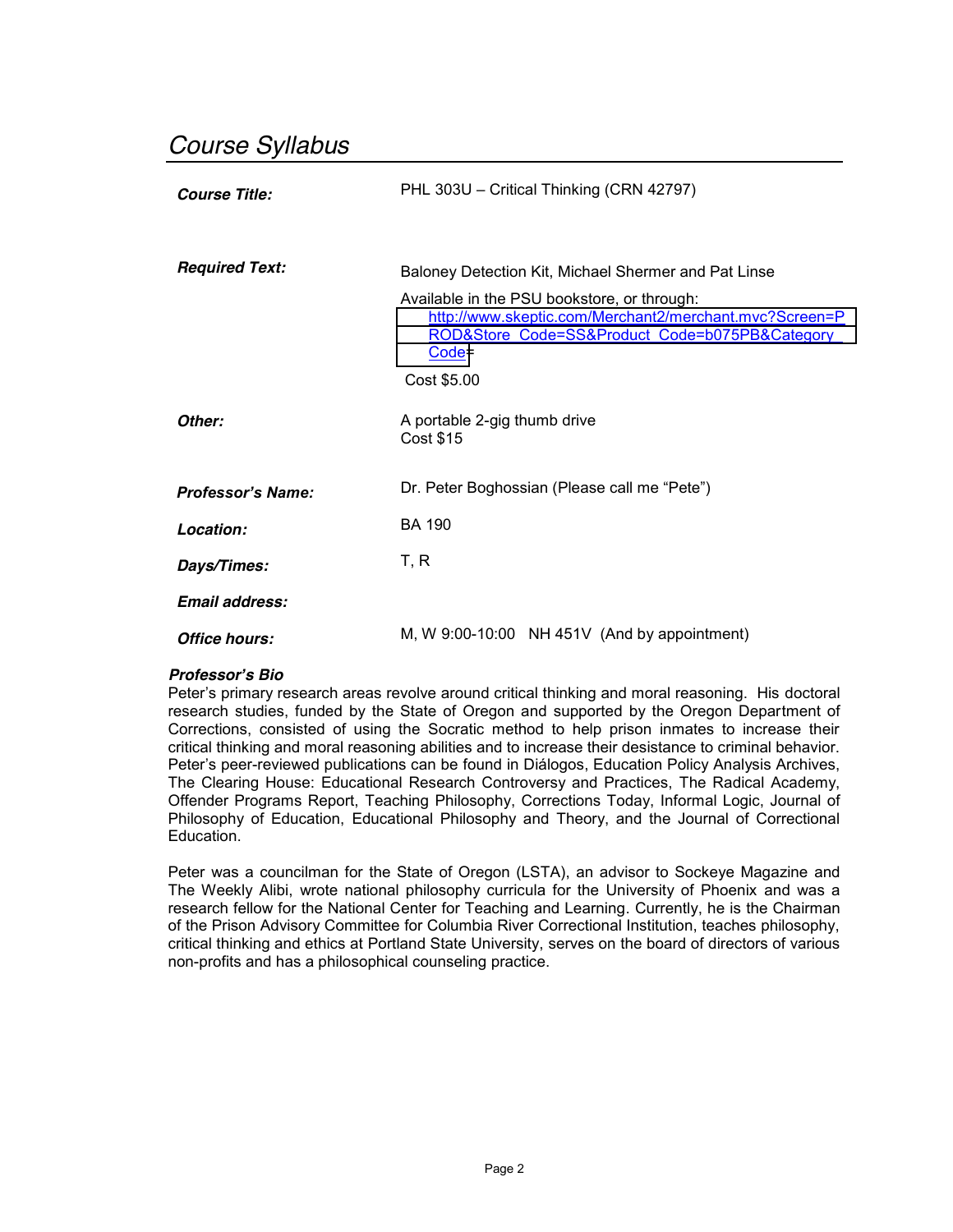# *Course Syllabus*

| <b>Course Title:</b>     | PHL 303U - Critical Thinking (CRN 42797)                                                                                                                    |  |
|--------------------------|-------------------------------------------------------------------------------------------------------------------------------------------------------------|--|
|                          |                                                                                                                                                             |  |
| <b>Required Text:</b>    | Baloney Detection Kit, Michael Shermer and Pat Linse                                                                                                        |  |
|                          | Available in the PSU bookstore, or through:<br>http://www.skeptic.com/Merchant2/merchant.mvc?Screen=P<br>ROD&Store Code=SS∏ Code=b075PB&Category<br>$Code=$ |  |
|                          | Cost \$5.00                                                                                                                                                 |  |
| Other:                   | A portable 2-gig thumb drive<br><b>Cost \$15</b>                                                                                                            |  |
| <b>Professor's Name:</b> | Dr. Peter Boghossian (Please call me "Pete")                                                                                                                |  |
| Location:                | <b>BA 190</b>                                                                                                                                               |  |
| Days/Times:              | T, R                                                                                                                                                        |  |
| Email address:           |                                                                                                                                                             |  |
| Office hours:            | M, W $9:00-10:00$ NH $451V$ (And by appointment)                                                                                                            |  |

# *Professor¶s Bio*

Peter's primary research areas revolve around critical thinking and moral reasoning. His doctoral research studies, funded by the State of Oregon and supported by the Oregon Department of Corrections, consisted of using the Socratic method to help prison inmates to increase their critical thinking and moral reasoning abilities and to increase their desistance to criminal behavior. Peter's peer-reviewed publications can be found in Diálogos, Education Policy Analysis Archives, The Clearing House: Educational Research Controversy and Practices, The Radical Academy, Offender Programs Report, Teaching Philosophy, Corrections Today, Informal Logic, Journal of Philosophy of Education, Educational Philosophy and Theory, and the Journal of Correctional Education.

Peter was a councilman for the State of Oregon (LSTA), an advisor to Sockeye Magazine and The Weekly Alibi, wrote national philosophy curricula for the University of Phoenix and was a research fellow for the National Center for Teaching and Learning. Currently, he is the Chairman of the Prison Advisory Committee for Columbia River Correctional Institution, teaches philosophy, critical thinking and ethics at Portland State University, serves on the board of directors of various non-profits and has a philosophical counseling practice.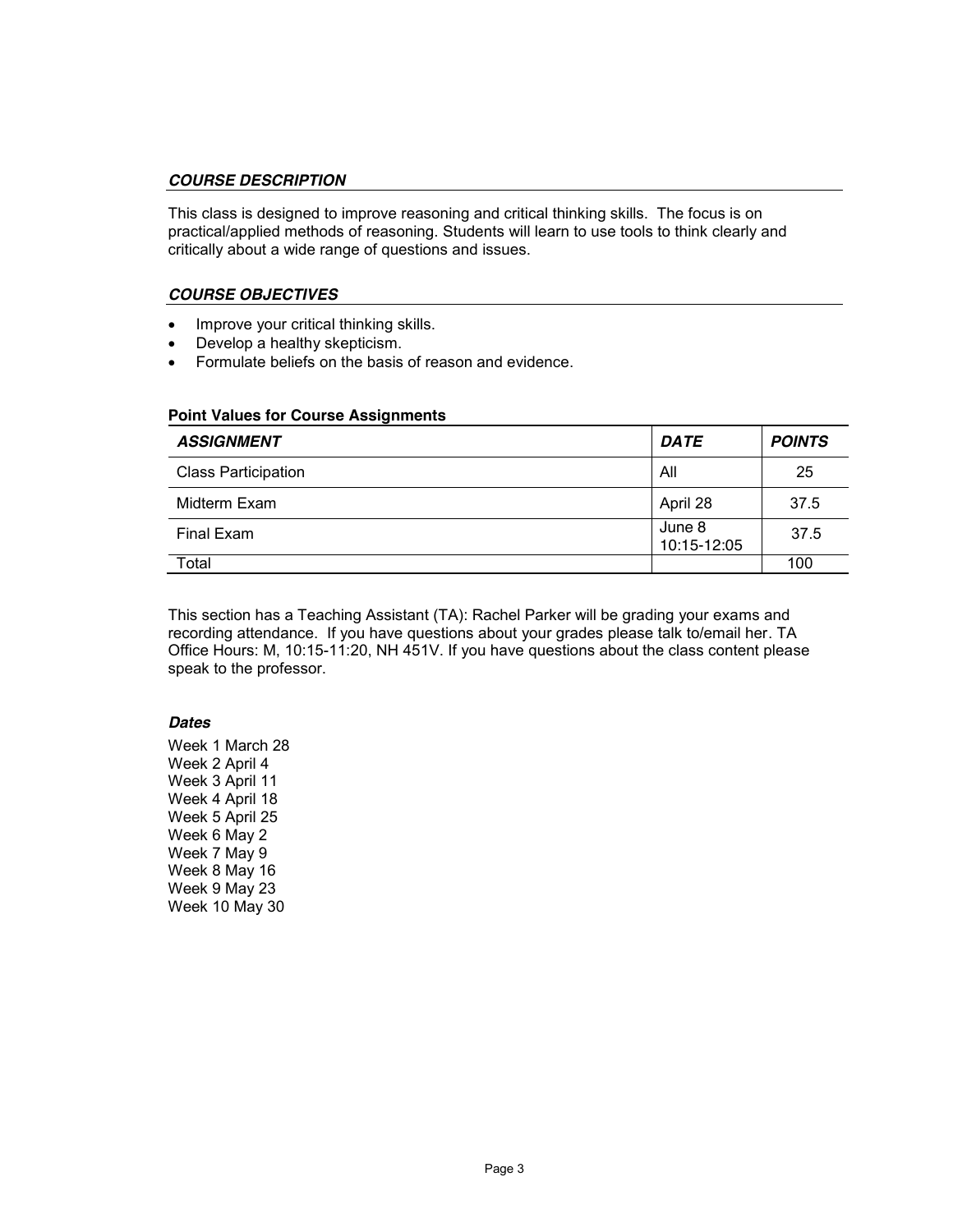#### *COURSE DESCRIPTION*

This class is designed to improve reasoning and critical thinking skills. The focus is on practical/applied methods of reasoning. Students will learn to use tools to think clearly and critically about a wide range of questions and issues.

## *COURSE OBJECTIVES*

- Improve your critical thinking skills.
- Develop a healthy skepticism.
- Formulate beliefs on the basis of reason and evidence.

#### **Point Values for Course Assignments**

| <b>ASSIGNMENT</b>          | <b>DATE</b>           | <b>POINTS</b> |
|----------------------------|-----------------------|---------------|
| <b>Class Participation</b> | All                   | 25            |
| Midterm Exam               | April 28              | 37.5          |
| Final Exam                 | June 8<br>10:15-12:05 | 37.5          |
| Total                      |                       | 100           |

This section has a Teaching Assistant (TA): Rachel Parker will be grading your exams and recording attendance. If you have questions about your grades please talk to/email her. TA Office Hours: M, 10:15-11:20, NH 451V. If you have questions about the class content please speak to the professor.

#### *Dates*

Week 1 March 28 Week 2 April 4 Week 3 April 11 Week 4 April 18 Week 5 April 25 Week 6 May 2 Week 7 May 9 Week 8 May 16 Week 9 May 23 Week 10 May 30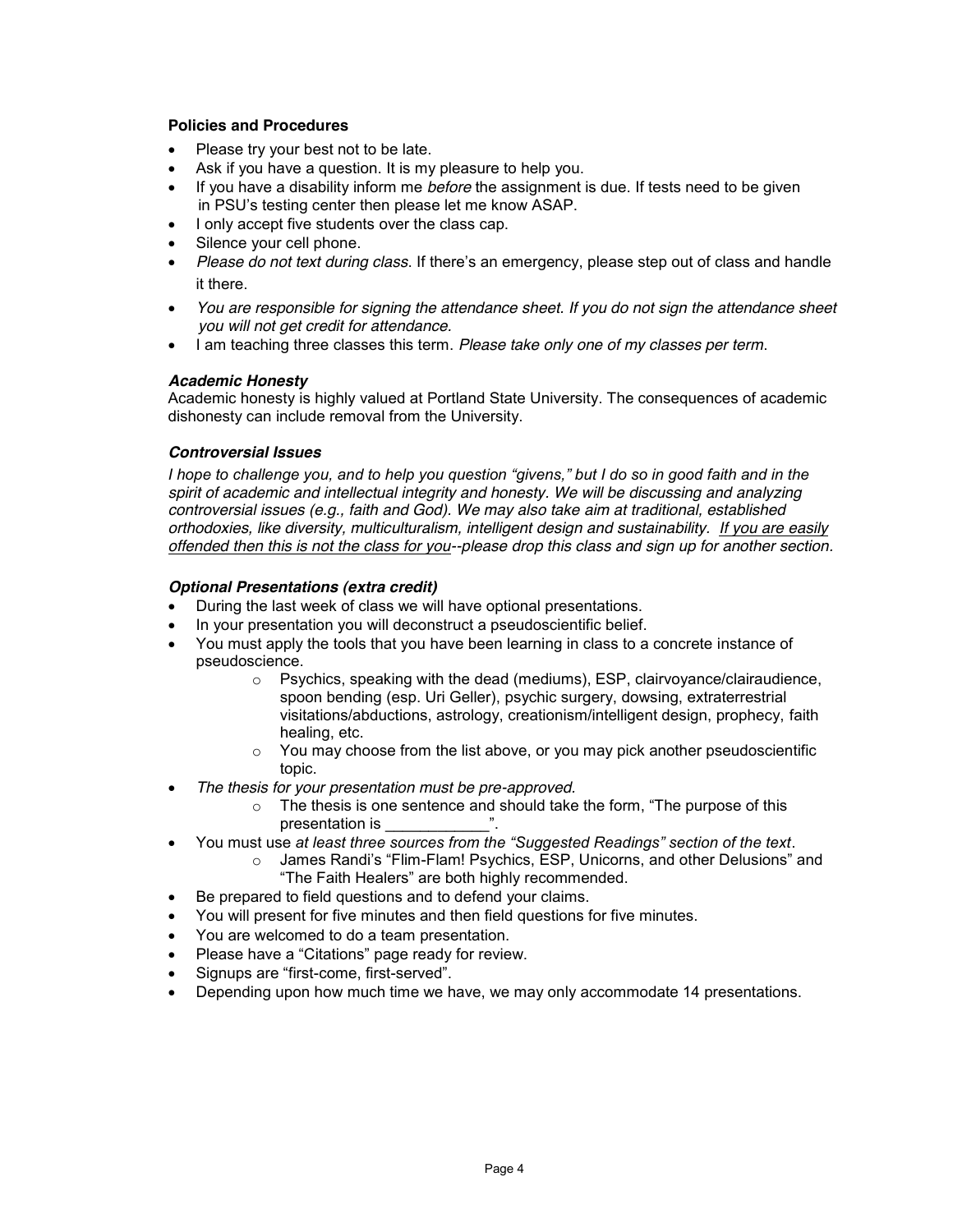#### **Policies and Procedures**

- Please try your best not to be late.
- Ask if you have a question. It is my pleasure to help you.
- If you have a disability inform me *before* the assignment is due. If tests need to be given in PSU's testing center then please let me know ASAP.
- I only accept five students over the class cap.
- Silence your cell phone.
- *Please do not text during class*. If there's an emergency, please step out of class and handle it there.
- You are responsible for signing the attendance sheet. If you do not sign the attendance sheet  *you will not get credit for attendance.*
- x I am teaching three classes this term. *Please take only one of my classes per term*.

# *Academic Honesty*

Academic honesty is highly valued at Portland State University. The consequences of academic dishonesty can include removal from the University.

## *Controversial Issues*

*I* hope to challenge you, and to help you question "givens," but I do so in good faith and in the *spirit of academic and intellectual integrity and honesty. We will be discussing and analyzing controversial issues (e.g., faith and God). We may also take aim at traditional, established orthodoxies, like diversity, multiculturalism, intelligent design and sustainability. If you are easily offended then this is not the class for you--please drop this class and sign up for another section.*

## *Optional Presentations (extra credit)*

- During the last week of class we will have optional presentations.
- In your presentation you will deconstruct a pseudoscientific belief.
- You must apply the tools that you have been learning in class to a concrete instance of pseudoscience.
	- $\circ$  Psychics, speaking with the dead (mediums), ESP, clairvoyance/clairaudience, spoon bending (esp. Uri Geller), psychic surgery, dowsing, extraterrestrial visitations/abductions, astrology, creationism/intelligent design, prophecy, faith healing, etc.
	- $\circ$  You may choose from the list above, or you may pick another pseudoscientific topic.
- x *The thesis for your presentation must be pre-approved.*
	- $\circ$  The thesis is one sentence and should take the form, "The purpose of this presentation is
- You must use at least three sources from the "Suggested Readings" section of the text.
	- James Randi's "Flim-Flam! Psychics, ESP, Unicorns, and other Delusions" and "The Faith Healers" are both highly recommended.
- Be prepared to field questions and to defend your claims.
- You will present for five minutes and then field questions for five minutes.
- You are welcomed to do a team presentation.
- Please have a "Citations" page ready for review.
- Signups are "first-come, first-served".
- Depending upon how much time we have, we may only accommodate 14 presentations.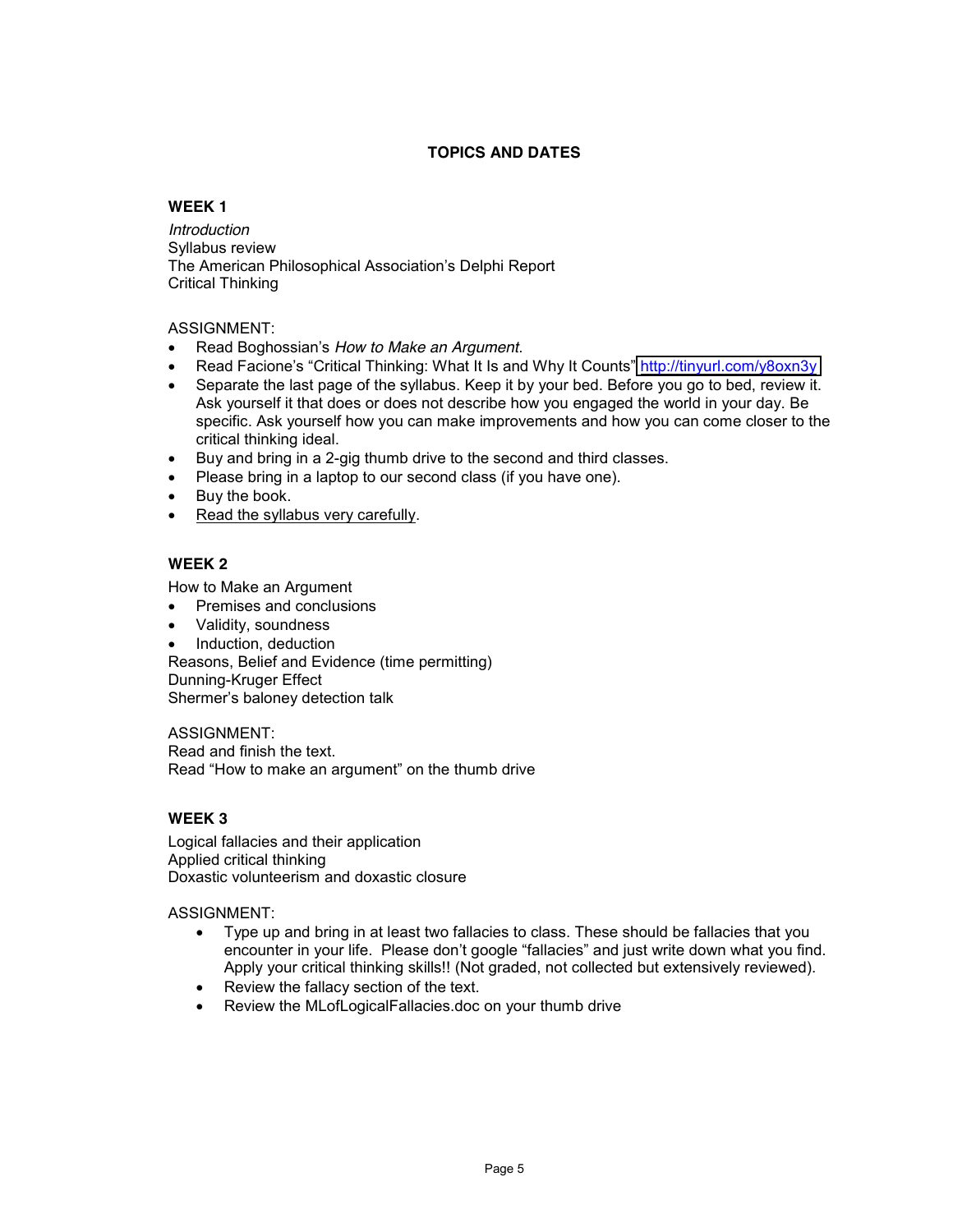# **TOPICS AND DATES**

# **WEEK 1**

*Introduction*  Syllabus review The American Philosophical Association's Delphi Report Critical Thinking

## ASSIGNMENT:

- Read Boghossian's How to Make an Argument.
- Read Facione's "Critical Thinking: What It Is and Why It Counts" <http://tinyurl.com/y8oxn3y>
- Separate the last page of the syllabus. Keep it by your bed. Before you go to bed, review it. Ask yourself it that does or does not describe how you engaged the world in your day. Be specific. Ask yourself how you can make improvements and how you can come closer to the critical thinking ideal.
- Buy and bring in a 2-gig thumb drive to the second and third classes.
- Please bring in a laptop to our second class (if you have one).
- $\bullet$  Buy the book.
- Read the syllabus very carefully.

# **WEEK 2**

How to Make an Argument

- Premises and conclusions
- x Validity, soundness
- Induction, deduction

Reasons, Belief and Evidence (time permitting) Dunning-Kruger Effect Shermer's baloney detection talk

ASSIGNMENT: Read and finish the text.

Read "How to make an argument" on the thumb drive

# **WEEK 3**

Logical fallacies and their application Applied critical thinking Doxastic volunteerism and doxastic closure

ASSIGNMENT:

- Type up and bring in at least two fallacies to class. These should be fallacies that you encounter in your life. Please don't google "fallacies" and just write down what you find. Apply your critical thinking skills!! (Not graded, not collected but extensively reviewed).
- Review the fallacy section of the text.
- Review the MLofLogicalFallacies.doc on your thumb drive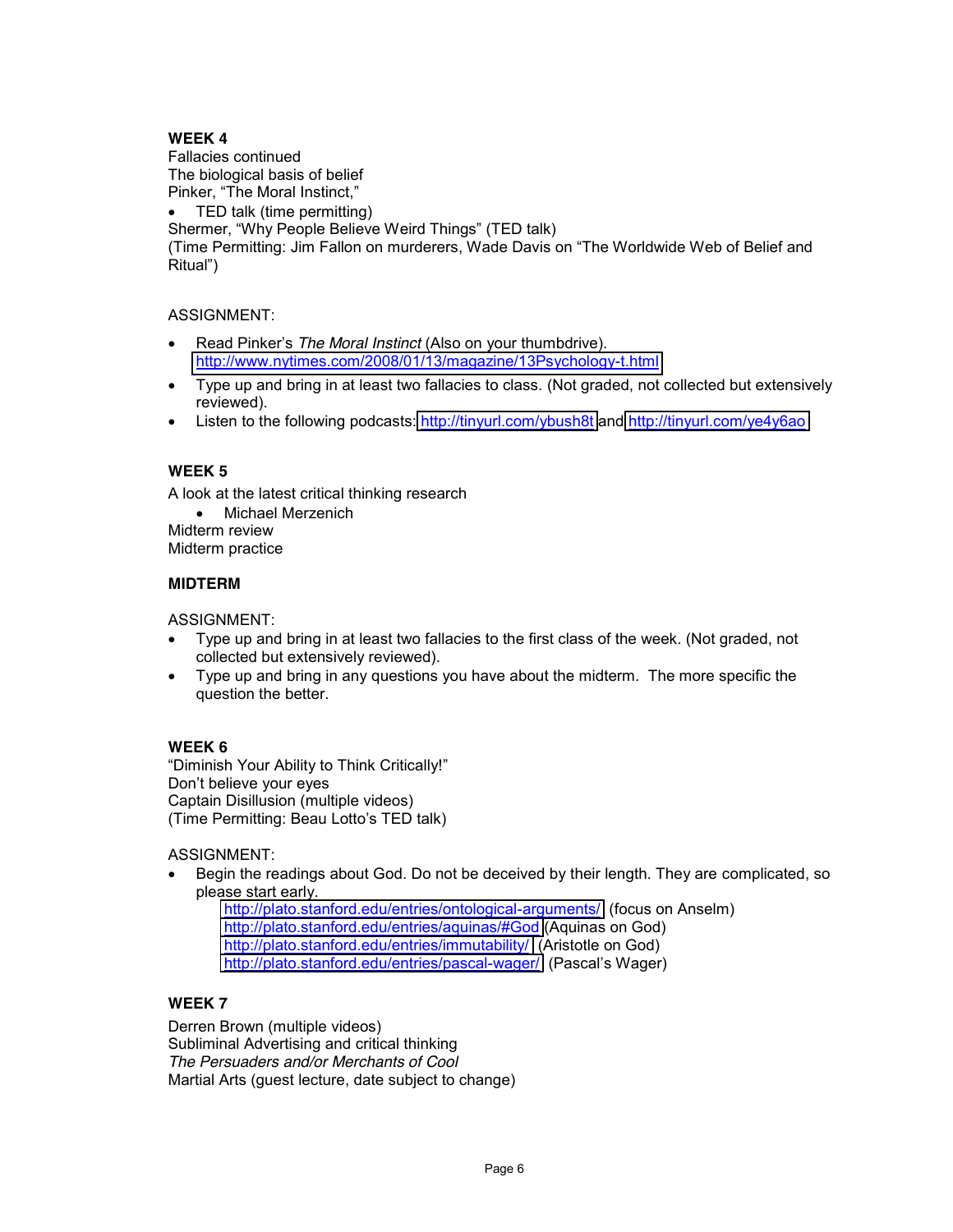# **WEEK 4**

Fallacies continued The biological basis of belief Pinker, "The Moral Instinct,"

 $\bullet$  TED talk (time permitting)

Shermer, "Why People Believe Weird Things" (TED talk)

(Time Permitting: Jim Fallon on murderers, Wade Davis on "The Worldwide Web of Belief and Ritual")

## ASSIGNMENT:

- Read Pinker's The Moral Instinct (Also on your thumbdrive). <http://www.nytimes.com/2008/01/13/magazine/13Psychology-t.html>
- Type up and bring in at least two fallacies to class. (Not graded, not collected but extensively reviewed).
- Listen to the following podcasts:<http://tinyurl.com/ybush8t> and<http://tinyurl.com/ye4y6ao>

# **WEEK 5**

A look at the latest critical thinking research

• Michael Merzenich Midterm review

Midterm practice

#### **MIDTERM**

ASSIGNMENT:

- Type up and bring in at least two fallacies to the first class of the week. (Not graded, not collected but extensively reviewed).
- Type up and bring in any questions you have about the midterm. The more specific the question the better.

# **WEEK 6**

"Diminish Your Ability to Think Critically!" Don't believe your eyes Captain Disillusion (multiple videos) (Time Permitting: Beau Lotto's TED talk)

ASSIGNMENT:

Begin the readings about God. Do not be deceived by their length. They are complicated, so please start early.

<http://plato.stanford.edu/entries/ontological-arguments/>(focus on Anselm) <http://plato.stanford.edu/entries/aquinas/#God> (Aquinas on God) <http://plato.stanford.edu/entries/immutability/>(Aristotle on God) <http://plato.stanford.edu/entries/pascal-wager/>(Pascal's Wager)

# **WEEK 7**

Derren Brown (multiple videos) Subliminal Advertising and critical thinking *The Persuaders and/or Merchants of Cool* Martial Arts (guest lecture, date subject to change)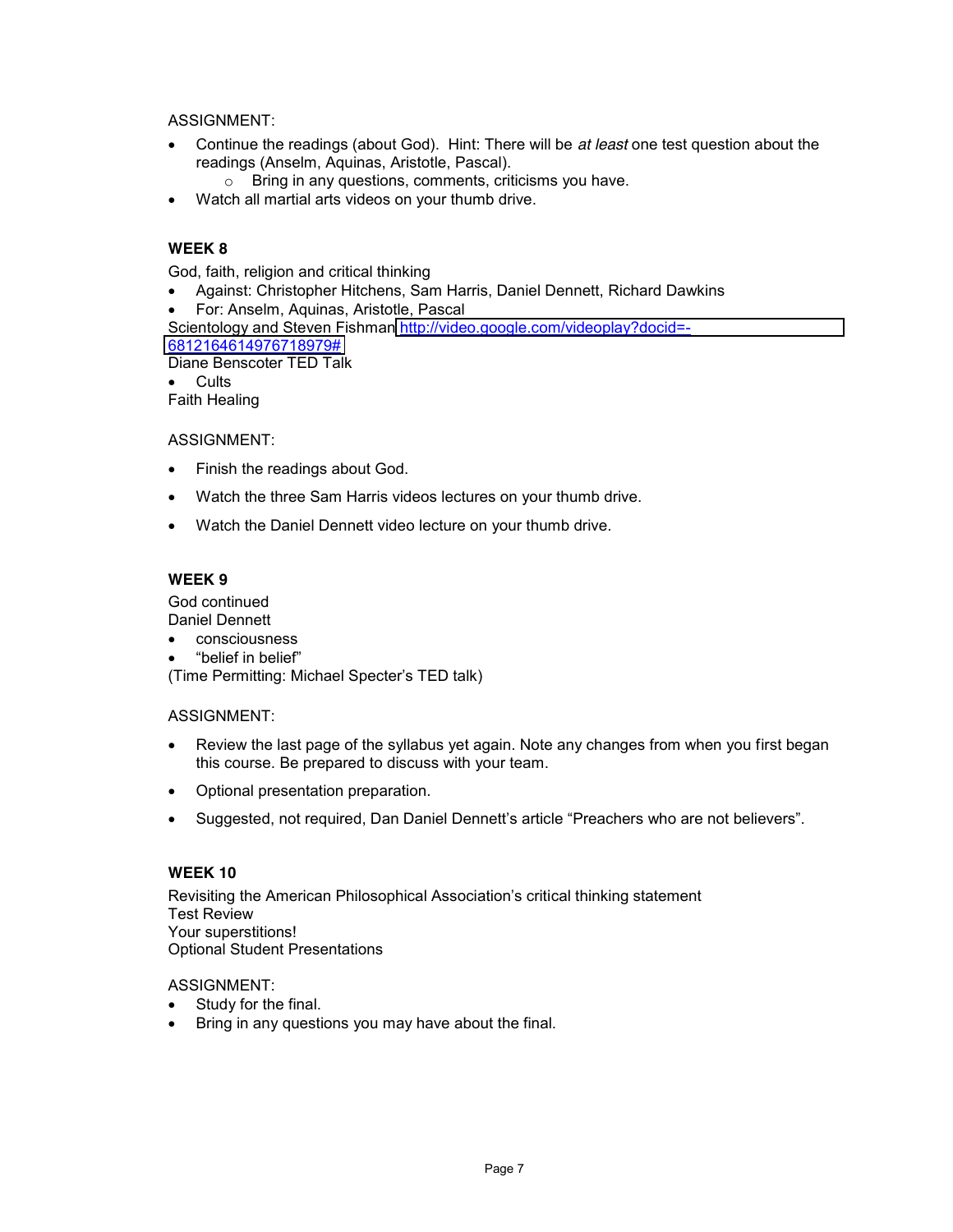ASSIGNMENT:

- **•** Continue the readings (about God). Hint: There will be *at least* one test question about the readings (Anselm, Aquinas, Aristotle, Pascal).
	- o Bring in any questions, comments, criticisms you have.
- Watch all martial arts videos on your thumb drive.

# **WEEK 8**

God, faith, religion and critical thinking

- Against: Christopher Hitchens, Sam Harris, Daniel Dennett, Richard Dawkins
- For: Anselm, Aquinas, Aristotle, Pascal
- Scientology and Steven Fishman [http://video.google.com/videoplay?docid=-](http://video.google.com/videoplay?docid=-6812164614976718979) [6812164614976718979#](http://video.google.com/videoplay?docid=-6812164614976718979)

Diane Benscoter TED Talk

• Cults

Faith Healing

ASSIGNMENT:

- Finish the readings about God.
- Watch the three Sam Harris videos lectures on your thumb drive.
- Watch the Daniel Dennett video lecture on your thumb drive.

## **WEEK 9**

God continued Daniel Dennett

- consciousness
- "belief in belief"

(Time Permitting: Michael Specter's TED talk)

#### ASSIGNMENT:

- Review the last page of the syllabus yet again. Note any changes from when you first began this course. Be prepared to discuss with your team.
- Optional presentation preparation.
- Suggested, not required, Dan Daniel Dennett's article "Preachers who are not believers".

#### **WEEK 10**

Revisiting the American Philosophical Association's critical thinking statement Test Review Your superstitions! Optional Student Presentations

ASSIGNMENT:

- $\bullet$  Study for the final.
- Bring in any questions you may have about the final.